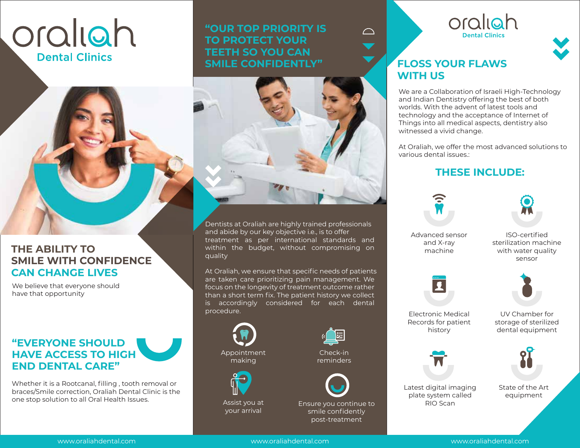# oraliah **Dental Clinics**

**THE ABILITY TO**

have that opportunity

**CAN CHANGE LIVES** We believe that everyone should

**"EVERYONE SHOULD HAVE ACCESS TO HIGH** 

**END DENTAL CARE"**

**SMILE WITH CONFIDENCE**

#### **"OUR TOP PRIORITY IS TO PROTECT YOUR TEETH SO YOU CAN SMILE CONFIDENTLY"**



Dentists at Oraliah are highly trained professionals and abide by our key objective i.e., is to offer treatment as per international standards and within the budget, without compromising on quality

At Oraliah, we ensure that specific needs of patients are taken care prioritizing pain management. We focus on the longevity of treatment outcome rather than a short term fix. The patient history we collect is accordingly considered for each dental procedure.





Assist you at your arrival

Check-in

reminders

Ensure you continue to smile confidently post-treatment





### **FLOSS YOUR FLAWS WITH US**

We are a Collaboration of Israeli High-Technology and Indian Dentistry offering the best of both worlds. With the advent of latest tools and technology and the acceptance of Internet of Things into all medical aspects, dentistry also witnessed a vivid change.

At Oraliah, we offer the most advanced solutions to various dental issues.:

#### **THESE INCLUDE:**





Advanced sensor and X-ray machine

ISO-certified sterilization machine with water quality sensor



Electronic Medical Records for patient history

UV Chamber for storage of sterilized dental equipment



Latest digital imaging plate system called RIO Scan

State of the Art equipment

Whether it is a Rootcanal, filling , tooth removal or braces/Smile correction, Oraliah Dental Clinic is the

one stop solution to all Oral Health Issues.

www.oraliahdental.com www.oraliahdental.com www.oraliahdental.com